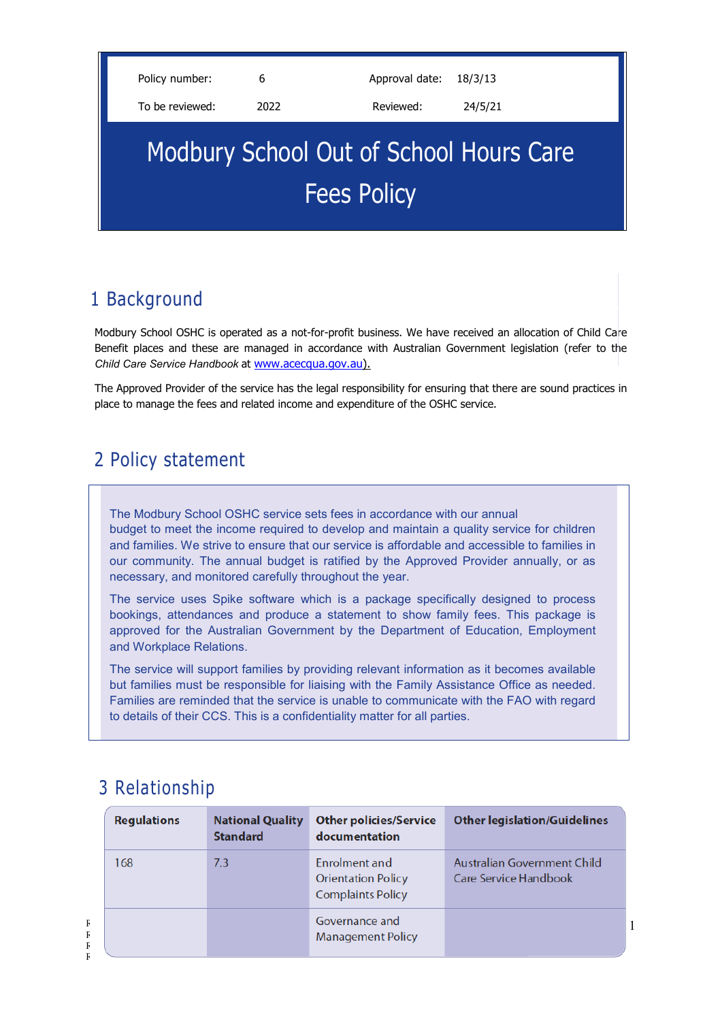Policy number: 6 6 Approval date: 18/3/13

To be reviewed: 2022 Reviewed: 24/5/21

# Modbury School Out of School Hours Care Fees Policy

# 1 Background

Modbury School OSHC is operated as a not-for-profit business. We have received an allocation of Child Care Benefit places and these are managed in accordance with Australian Government legislation (refer to the *Child Care Service Handbook* at [www.acecqua.gov.au\)](http://www.acecqua.gov.au/).

The Approved Provider of the service has the legal responsibility for ensuring that there are sound practices in place to manage the fees and related income and expenditure of the OSHC service.

## 2 Policy statement

The Modbury School OSHC service sets fees in accordance with our annual budget to meet the income required to develop and maintain a quality service for children and families. We strive to ensure that our service is affordable and accessible to families in our community. The annual budget is ratified by the Approved Provider annually, or as necessary, and monitored carefully throughout the year.

The service uses Spike software which is a package specifically designed to process bookings, attendances and produce a statement to show family fees. This package is approved for the Australian Government by the Department of Education, Employment and Workplace Relations.

The service will support families by providing relevant information as it becomes available but families must be responsible for liaising with the Family Assistance Office as needed. Families are reminded that the service is unable to communicate with the FAO with regard to details of their CCS. This is a confidentiality matter for all parties.

# 3 Relationship

|             | <b>Regulations</b> | <b>National Quality</b><br><b>Standard</b> | <b>Other policies/Service</b><br>documentation                         | <b>Other legislation/Guidelines</b>                         |
|-------------|--------------------|--------------------------------------------|------------------------------------------------------------------------|-------------------------------------------------------------|
|             | 168                | 7.3                                        | Enrolment and<br><b>Orientation Policy</b><br><b>Complaints Policy</b> | Australian Government Child<br><b>Care Service Handbook</b> |
| F<br>F<br>F |                    |                                            | Governance and<br><b>Management Policy</b>                             |                                                             |

1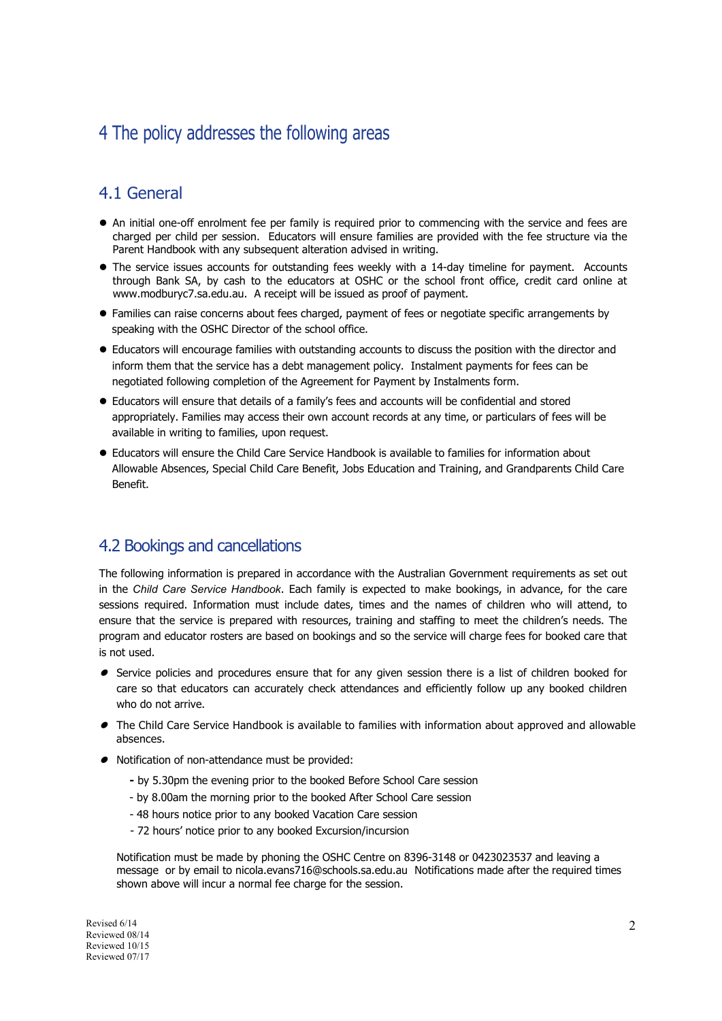### 4 The policy addresses the following areas

#### 4.1 General

- An initial one-off enrolment fee per family is required prior to commencing with the service and fees are charged per child per session. Educators will ensure families are provided with the fee structure via the Parent Handbook with any subsequent alteration advised in writing.
- The service issues accounts for outstanding fees weekly with a 14-day timeline for payment. Accounts through Bank SA, by cash to the educators at OSHC or the school front office, credit card online at www.modburyc7.sa.edu.au. A receipt will be issued as proof of payment.
- Families can raise concerns about fees charged, payment of fees or negotiate specific arrangements by speaking with the OSHC Director of the school office.
- Educators will encourage families with outstanding accounts to discuss the position with the director and inform them that the service has a debt management policy. Instalment payments for fees can be negotiated following completion of the Agreement for Payment by Instalments form.
- Educators will ensure that details of a family's fees and accounts will be confidential and stored appropriately. Families may access their own account records at any time, or particulars of fees will be available in writing to families, upon request.
- Educators will ensure the Child Care Service Handbook is available to families for information about Allowable Absences, Special Child Care Benefit, Jobs Education and Training, and Grandparents Child Care Benefit.

#### 4.2 Bookings and cancellations

The following information is prepared in accordance with the Australian Government requirements as set out in the *Child Care Service Handbook*. Each family is expected to make bookings, in advance, for the care sessions required. Information must include dates, times and the names of children who will attend, to ensure that the service is prepared with resources, training and staffing to meet the children's needs. The program and educator rosters are based on bookings and so the service will charge fees for booked care that is not used.

- $\bullet$  Service policies and procedures ensure that for any given session there is a list of children booked for care so that educators can accurately check attendances and efficiently follow up any booked children who do not arrive.
- $\bullet$  The Child Care Service Handbook is available to families with information about approved and allowable absences.
- Notification of non-attendance must be provided:
	- **-** by 5.30pm the evening prior to the booked Before School Care session
	- by 8.00am the morning prior to the booked After School Care session
	- 48 hours notice prior to any booked Vacation Care session
	- 72 hours' notice prior to any booked Excursion/incursion

Notification must be made by phoning the OSHC Centre on 8396-3148 or 0423023537 and leaving a message or by email to nicola.evans716@schools.sa.edu.au Notifications made after the required times shown above will incur a normal fee charge for the session.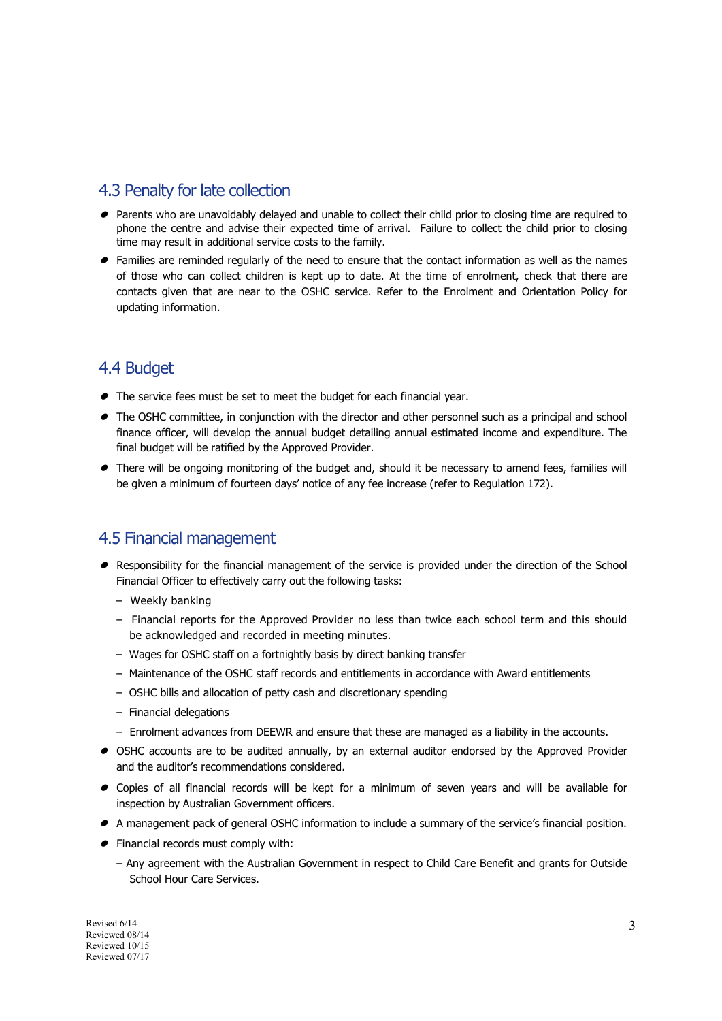#### 4.3 Penalty for late collection

- Parents who are unavoidably delayed and unable to collect their child prior to closing time are required to phone the centre and advise their expected time of arrival. Failure to collect the child prior to closing time may result in additional service costs to the family.
- $\bullet$  Families are reminded regularly of the need to ensure that the contact information as well as the names of those who can collect children is kept up to date. At the time of enrolment, check that there are contacts given that are near to the OSHC service. Refer to the Enrolment and Orientation Policy for updating information.

#### 4.4 Budget

- The service fees must be set to meet the budget for each financial year.
- $\bullet$  The OSHC committee, in conjunction with the director and other personnel such as a principal and school finance officer, will develop the annual budget detailing annual estimated income and expenditure. The final budget will be ratified by the Approved Provider.
- There will be ongoing monitoring of the budget and, should it be necessary to amend fees, families will be given a minimum of fourteen days' notice of any fee increase (refer to Regulation 172).

#### 4.5 Financial management

- Responsibility for the financial management of the service is provided under the direction of the School Financial Officer to effectively carry out the following tasks:
	- Weekly banking
	- Financial reports for the Approved Provider no less than twice each school term and this should be acknowledged and recorded in meeting minutes.
	- Wages for OSHC staff on a fortnightly basis by direct banking transfer
	- Maintenance of the OSHC staff records and entitlements in accordance with Award entitlements
	- OSHC bills and allocation of petty cash and discretionary spending
	- Financial delegations
	- Enrolment advances from DEEWR and ensure that these are managed as a liability in the accounts.
- $\bullet$  OSHC accounts are to be audited annually, by an external auditor endorsed by the Approved Provider and the auditor's recommendations considered.
- Copies of all financial records will be kept for a minimum of seven years and will be available for inspection by Australian Government officers.
- A management pack of general OSHC information to include a summary of the service's financial position.
- Financial records must comply with:
	- Any agreement with the Australian Government in respect to Child Care Benefit and grants for Outside School Hour Care Services.